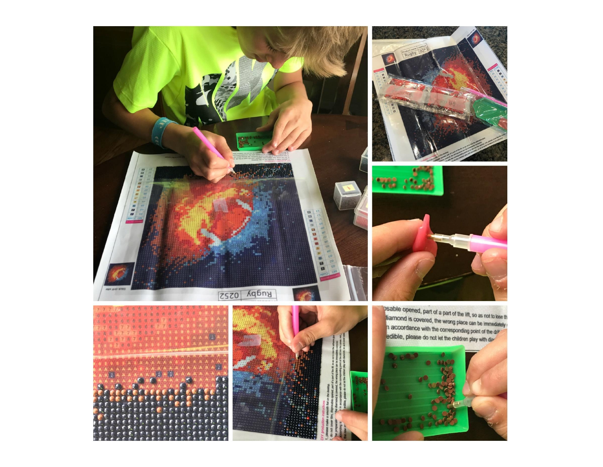